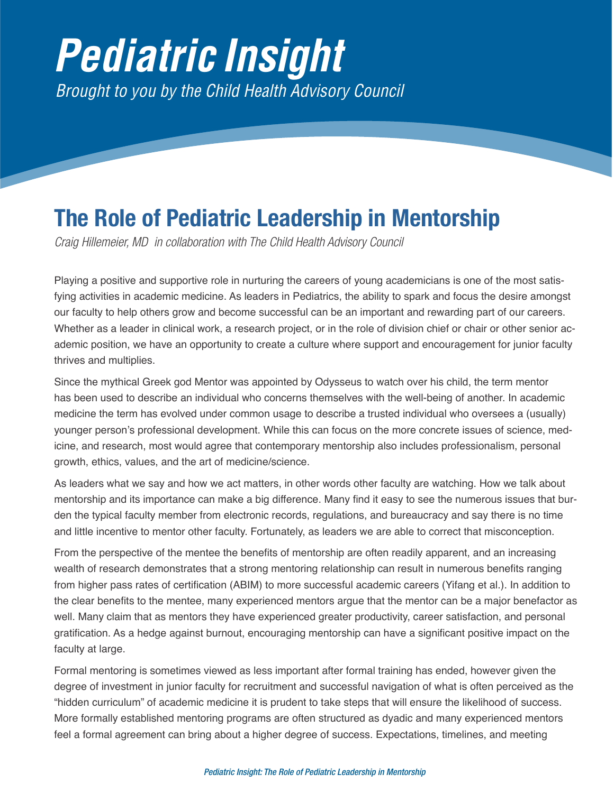## *Pediatric Insight Brought to you by the Child Health Advisory Council*

## **The Role of Pediatric Leadership in Mentorship**

*Craig Hillemeier, MD in collaboration with The Child Health Advisory Council*

Playing a positive and supportive role in nurturing the careers of young academicians is one of the most satisfying activities in academic medicine. As leaders in Pediatrics, the ability to spark and focus the desire amongst our faculty to help others grow and become successful can be an important and rewarding part of our careers. Whether as a leader in clinical work, a research project, or in the role of division chief or chair or other senior academic position, we have an opportunity to create a culture where support and encouragement for junior faculty thrives and multiplies.

Since the mythical Greek god Mentor was appointed by Odysseus to watch over his child, the term mentor has been used to describe an individual who concerns themselves with the well-being of another. In academic medicine the term has evolved under common usage to describe a trusted individual who oversees a (usually) younger person's professional development. While this can focus on the more concrete issues of science, medicine, and research, most would agree that contemporary mentorship also includes professionalism, personal growth, ethics, values, and the art of medicine/science.

As leaders what we say and how we act matters, in other words other faculty are watching. How we talk about mentorship and its importance can make a big difference. Many find it easy to see the numerous issues that burden the typical faculty member from electronic records, regulations, and bureaucracy and say there is no time and little incentive to mentor other faculty. Fortunately, as leaders we are able to correct that misconception.

From the perspective of the mentee the benefits of mentorship are often readily apparent, and an increasing wealth of research demonstrates that a strong mentoring relationship can result in numerous benefits ranging from higher pass rates of certification (ABIM) to more successful academic careers (Yifang et al.). In addition to the clear benefits to the mentee, many experienced mentors argue that the mentor can be a major benefactor as well. Many claim that as mentors they have experienced greater productivity, career satisfaction, and personal gratification. As a hedge against burnout, encouraging mentorship can have a significant positive impact on the faculty at large.

Formal mentoring is sometimes viewed as less important after formal training has ended, however given the degree of investment in junior faculty for recruitment and successful navigation of what is often perceived as the "hidden curriculum" of academic medicine it is prudent to take steps that will ensure the likelihood of success. More formally established mentoring programs are often structured as dyadic and many experienced mentors feel a formal agreement can bring about a higher degree of success. Expectations, timelines, and meeting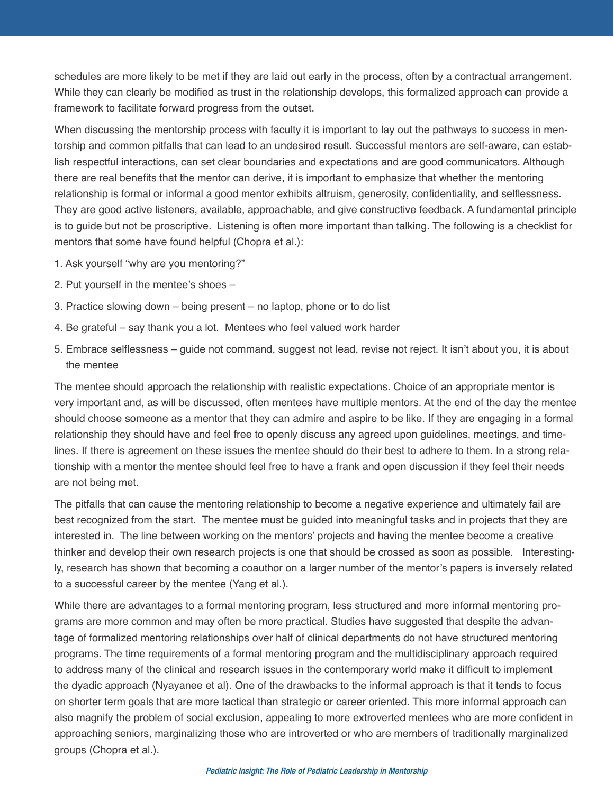schedules are more likely to be met if they are laid out early in the process, often by a contractual arrangement. While they can clearly be modified as trust in the relationship develops, this formalized approach can provide a framework to facilitate forward progress from the outset.

When discussing the mentorship process with faculty it is important to lay out the pathways to success in mentorship and common pitfalls that can lead to an undesired result. Successful mentors are self-aware, can establish respectful interactions, can set clear boundaries and expectations and are good communicators. Although there are real benefits that the mentor can derive, it is important to emphasize that whether the mentoring relationship is formal or informal a good mentor exhibits altruism, generosity, confidentiality, and selflessness. They are good active listeners, available, approachable, and give constructive feedback. A fundamental principle is to guide but not be proscriptive. Listening is often more important than talking. The following is a checklist for mentors that some have found helpful (Chopra et al.):

- 1. Ask yourself "why are you mentoring?"
- 2. Put yourself in the mentee's shoes –
- 3. Practice slowing down being present no laptop, phone or to do list
- 4. Be grateful say thank you a lot. Mentees who feel valued work harder
- 5. Embrace selflessness guide not command, suggest not lead, revise not reject. It isn't about you, it is about the mentee

The mentee should approach the relationship with realistic expectations. Choice of an appropriate mentor is very important and, as will be discussed, often mentees have multiple mentors. At the end of the day the mentee should choose someone as a mentor that they can admire and aspire to be like. If they are engaging in a formal relationship they should have and feel free to openly discuss any agreed upon guidelines, meetings, and timelines. If there is agreement on these issues the mentee should do their best to adhere to them. In a strong relationship with a mentor the mentee should feel free to have a frank and open discussion if they feel their needs are not being met.

The pitfalls that can cause the mentoring relationship to become a negative experience and ultimately fail are best recognized from the start. The mentee must be guided into meaningful tasks and in projects that they are interested in. The line between working on the mentors' projects and having the mentee become a creative thinker and develop their own research projects is one that should be crossed as soon as possible. Interestingly, research has shown that becoming a coauthor on a larger number of the mentor's papers is inversely related to a successful career by the mentee (Yang et al.).

While there are advantages to a formal mentoring program, less structured and more informal mentoring programs are more common and may often be more practical. Studies have suggested that despite the advantage of formalized mentoring relationships over half of clinical departments do not have structured mentoring programs. The time requirements of a formal mentoring program and the multidisciplinary approach required to address many of the clinical and research issues in the contemporary world make it difficult to implement the dyadic approach (Nyayanee et al). One of the drawbacks to the informal approach is that it tends to focus on shorter term goals that are more tactical than strategic or career oriented. This more informal approach can also magnify the problem of social exclusion, appealing to more extroverted mentees who are more confident in approaching seniors, marginalizing those who are introverted or who are members of traditionally marginalized groups (Chopra et al.).

## *Pediatric Insight: The Role of Pediatric Leadership in Mentorship*